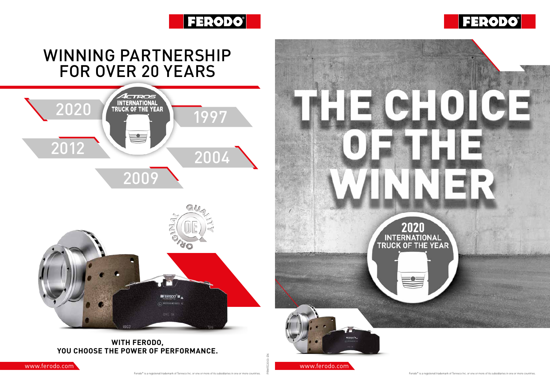









## WINNING PARTNERSHIP FOR OVER 20 YEARS

PRMFE2003-EN

## **WITH FERODO, YOU CHOOSE THE POWER OF PERFORMANCE.**